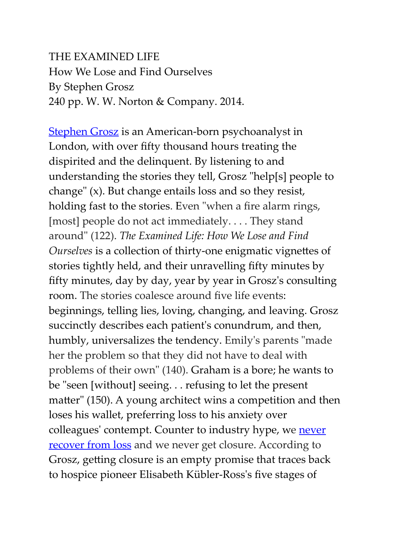## THE EXAMINED LIFE How We Lose and Find Ourselves By Stephen Grosz 240 pp. W. W. Norton & Company. 2014.

**[Stephen Grosz](https://www.stephengrosz.com/)** is an American-born psychoanalyst in London, with over fifty thousand hours treating the dispirited and the delinquent. By listening to and understanding the stories they tell, Grosz "help[s] people to change" (x). But change entails loss and so they resist, holding fast to the stories. Even "when a fire alarm rings, [most] people do not act immediately. . . . They stand around" (122). *The Examined Life: How We Lose and Find Ourselves* is a collection of thirty-one enigmatic vignettes of stories tightly held, and their unravelling fifty minutes by fifty minutes, day by day, year by year in Grosz's consulting room. The stories coalesce around five life events: beginnings, telling lies, loving, changing, and leaving. Grosz succinctly describes each patient's conundrum, and then, humbly, universalizes the tendency. Emily's parents "made her the problem so that they did not have to deal with problems of their own" (140). Graham is a bore; he wants to be "seen [without] seeing. . . refusing to let the present matter" (150). A young architect wins a competition and then loses his wallet, preferring loss to his anxiety over colleagues' contempt. Counter to industry hype, we [never](https://www.ambiguousloss.com/)  **[recover from loss](https://www.ambiguousloss.com/)** and we never get closure. According to Grosz, getting closure is an empty promise that traces back to hospice pioneer Elisabeth Kübler-Ross's five stages of